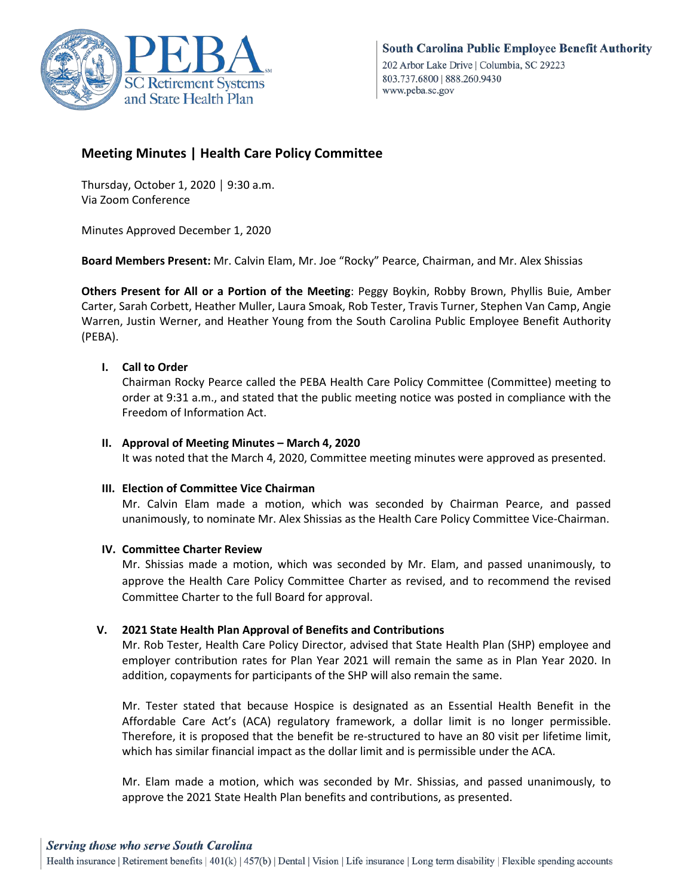

# **Meeting Minutes | Health Care Policy Committee**

Thursday, October 1, 2020 │ 9:30 a.m. Via Zoom Conference

Minutes Approved December 1, 2020

**Board Members Present:** Mr. Calvin Elam, Mr. Joe "Rocky" Pearce, Chairman, and Mr. Alex Shissias

**Others Present for All or a Portion of the Meeting**: Peggy Boykin, Robby Brown, Phyllis Buie, Amber Carter, Sarah Corbett, Heather Muller, Laura Smoak, Rob Tester, Travis Turner, Stephen Van Camp, Angie Warren, Justin Werner, and Heather Young from the South Carolina Public Employee Benefit Authority (PEBA).

# **I. Call to Order**

Chairman Rocky Pearce called the PEBA Health Care Policy Committee (Committee) meeting to order at 9:31 a.m., and stated that the public meeting notice was posted in compliance with the Freedom of Information Act.

## **II. Approval of Meeting Minutes – March 4, 2020**

It was noted that the March 4, 2020, Committee meeting minutes were approved as presented.

#### **III. Election of Committee Vice Chairman**

Mr. Calvin Elam made a motion, which was seconded by Chairman Pearce, and passed unanimously, to nominate Mr. Alex Shissias as the Health Care Policy Committee Vice-Chairman.

#### **IV. Committee Charter Review**

Mr. Shissias made a motion, which was seconded by Mr. Elam, and passed unanimously, to approve the Health Care Policy Committee Charter as revised, and to recommend the revised Committee Charter to the full Board for approval.

#### **V. 2021 State Health Plan Approval of Benefits and Contributions**

Mr. Rob Tester, Health Care Policy Director, advised that State Health Plan (SHP) employee and employer contribution rates for Plan Year 2021 will remain the same as in Plan Year 2020. In addition, copayments for participants of the SHP will also remain the same.

Mr. Tester stated that because Hospice is designated as an Essential Health Benefit in the Affordable Care Act's (ACA) regulatory framework, a dollar limit is no longer permissible. Therefore, it is proposed that the benefit be re-structured to have an 80 visit per lifetime limit, which has similar financial impact as the dollar limit and is permissible under the ACA.

Mr. Elam made a motion, which was seconded by Mr. Shissias, and passed unanimously, to approve the 2021 State Health Plan benefits and contributions, as presented.

Health insurance | Retirement benefits  $|401(k)|457(b)|$  Dental | Vision | Life insurance | Long term disability | Flexible spending accounts